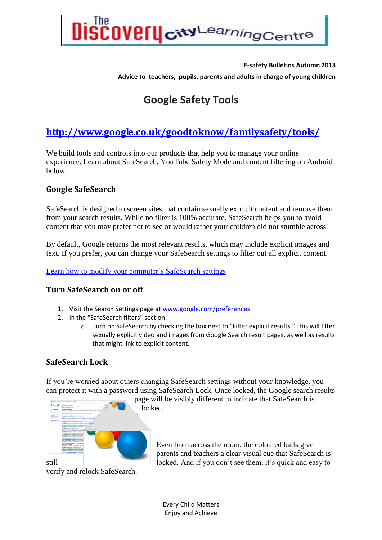

#### **E-safety Bulletins Autumn 2013**

**Advice to teachers, pupils, parents and adults in charge of young children** 

# **Google Safety Tools**

## **<http://www.google.co.uk/goodtoknow/familysafety/tools/>**

We build tools and controls into our products that help you to manage your online experience. Learn about SafeSearch, YouTube Safety Mode and content filtering on Android below.

### **Google SafeSearch**

SafeSearch is designed to screen sites that contain sexually explicit content and remove them from your search results. While no filter is 100% accurate, SafeSearch helps you to avoid content that you may prefer not to see or would rather your children did not stumble across.

By default, Google returns the most relevant results, which may include explicit images and text. If you prefer, you can change your SafeSearch settings to filter out all explicit content.

[Learn how to modify your computer's SafeSearch settings](http://support.google.com/websearch/bin/answer.py?hl=en&answer=510)

#### **Turn SafeSearch on or off**

- 1. Visit the Search Settings page a[t www.google.com/preferences.](http://www.google.com/preferences)
- 2. In the "SafeSearch filters" section:
	- o Turn on SafeSearch by checking the box next to "Filter explicit results." This will filter sexually explicit video and images from Google Search result pages, as well as results that might link to explicit content.

#### **SafeSearch Lock**

If you're worried about others changing SafeSearch settings without your knowledge, you can protect it with a password using SafeSearch Lock. Once locked, the Google search results



page will be visibly different to indicate that SafeSearch is locked.

Even from across the room, the coloured balls give parents and teachers a clear visual cue that SafeSearch is still locked. And if you don't see them, it's quick and easy to

verify and relock SafeSearch.

Every Child Matters Enjoy and Achieve